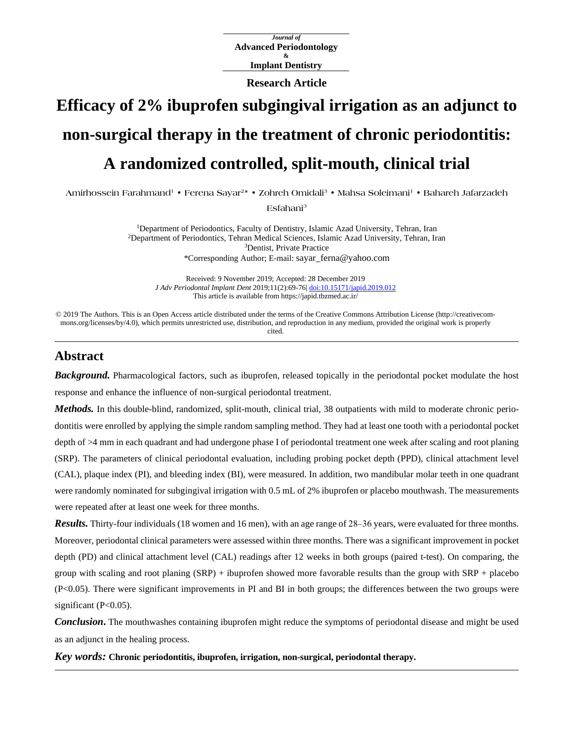*Journal of* **Advanced Periodontology & Implant Dentistry**

**Research Article**

# **Efficacy of 2% ibuprofen subgingival irrigation as an adjunct to non-surgical therapy in the treatment of chronic periodontitis: A randomized controlled, split-mouth, clinical trial**

**Amirhossein Farahmand1 • Ferena Sayar2\* • Zohreh Omidali3 • Mahsa Soleimani1 • Bahareh Jafarzadeh**

**Esfahani3**

<sup>1</sup>Department of Periodontics, Faculty of Dentistry, Islamic Azad University, Tehran, Iran 2 Department of Periodontics, Tehran Medical Sciences, Islamic Azad University, Tehran, Iran 3Dentist, Private Practice \*Corresponding Author; E-mail: sayar\_ferna@yahoo.com

Received: 9 November 2019; Accepted: 28 December 2019 *J Adv Periodontal Implant Dent* 2019;11(2):69-76| [doi:10.15171/japid.2019.012](http://dx.doi.org/10.15171/japid.2019.012) This article is available from https://japid.tbzmed.ac.ir/

© 2019 The Authors. This is an Open Access article distributed under the terms of the Creative Commons Attribution License (http://creativecommons.org/licenses/by/4.0), which permits unrestricted use, distribution, and reproduction in any medium, provided the original work is properly cited.

# **Abstract**

*Background.* Pharmacological factors, such as ibuprofen, released topically in the periodontal pocket modulate the host response and enhance the influence of non-surgical periodontal treatment.

*Methods.* In this double-blind, randomized, split-mouth, clinical trial, 38 outpatients with mild to moderate chronic periodontitis were enrolled by applying the simple random sampling method. They had at least one tooth with a periodontal pocket depth of >4 mm in each quadrant and had undergone phase I of periodontal treatment one week after scaling and root planing (SRP). The parameters of clinical periodontal evaluation, including probing pocket depth (PPD), clinical attachment level (CAL), plaque index (PI), and bleeding index (BI), were measured. In addition, two mandibular molar teeth in one quadrant were randomly nominated for subgingival irrigation with 0.5 mL of 2% ibuprofen or placebo mouthwash. The measurements were repeated after at least one week for three months.

*Results.* Thirty-four individuals (18 women and 16 men), with an age range of 28–36 years, were evaluated for three months. Moreover, periodontal clinical parameters were assessed within three months. There was a significant improvement in pocket depth (PD) and clinical attachment level (CAL) readings after 12 weeks in both groups (paired t-test). On comparing, the group with scaling and root planing (SRP) + ibuprofen showed more favorable results than the group with SRP + placebo (P<0.05). There were significant improvements in PI and BI in both groups; the differences between the two groups were significant  $(P<0.05)$ .

*Conclusion***.** The mouthwashes containing ibuprofen might reduce the symptoms of periodontal disease and might be used as an adjunct in the healing process.

*Key words:* **Chronic periodontitis, ibuprofen, irrigation, non-surgical, periodontal therapy.**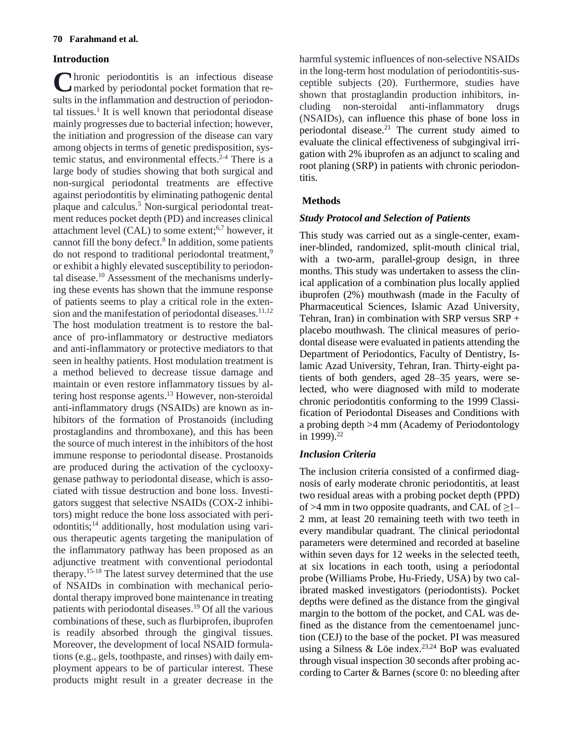# **Introduction**

Chronic periodontitis is an infectious disease<br>
marked by periodontal pocket formation that remarked by periodontal pocket formation that results in the inflammation and destruction of periodontal tissues. <sup>1</sup> It is well known that periodontal disease mainly progresses due to bacterial infection; however, the initiation and progression of the disease can vary among objects in terms of genetic predisposition, systemic status, and environmental effects. 2-4 There is a large body of studies showing that both surgical and non-surgical periodontal treatments are effective against periodontitis by eliminating pathogenic dental plaque and calculus. <sup>5</sup> Non-surgical periodontal treatment reduces pocket depth (PD) and increases clinical attachment level (CAL) to some extent; 6,7 however, it cannot fill the bony defect. <sup>8</sup> In addition, some patients do not respond to traditional periodontal treatment, 9 or exhibit a highly elevated susceptibility to periodontal disease. <sup>10</sup> Assessment of the mechanisms underlying these events has shown that the immune response of patients seems to play a critical role in the extension and the manifestation of periodontal diseases. 11,12 The host modulation treatment is to restore the balance of pro-inflammatory or destructive mediators and anti-inflammatory or protective mediators to that seen in healthy patients. Host modulation treatment is a method believed to decrease tissue damage and maintain or even restore inflammatory tissues by altering host response agents.<sup>13</sup> However, non-steroidal anti-inflammatory drugs (NSAIDs) are known as inhibitors of the formation of Prostanoids (including prostaglandins and thromboxane), and this has been the source of much interest in the inhibitors of the host immune response to periodontal disease. Prostanoids are produced during the activation of the cyclooxygenase pathway to periodontal disease, which is associated with tissue destruction and bone loss. Investigators suggest that selective NSAIDs (COX-2 inhibitors) might reduce the bone loss associated with periodontitis; <sup>14</sup> additionally, host modulation using various therapeutic agents targeting the manipulation of the inflammatory pathway has been proposed as an adjunctive treatment with conventional periodontal therapy. 15-18 The latest survey determined that the use of NSAIDs in combination with mechanical periodontal therapy improved bone maintenance in treating patients with periodontal diseases. <sup>19</sup> Of all the various combinations of these, such as flurbiprofen, ibuprofen is readily absorbed through the gingival tissues. Moreover, the development of local NSAID formulations (e.g., gels, toothpaste, and rinses) with daily employment appears to be of particular interest. These products might result in a greater decrease in the

harmful systemic influences of non-selective NSAIDs in the long-term host modulation of periodontitis-susceptible subjects (20). Furthermore, studies have shown that prostaglandin production inhibitors, including non-steroidal anti-inflammatory drugs (NSAIDs), can influence this phase of bone loss in periodontal disease. <sup>21</sup> The current study aimed to evaluate the clinical effectiveness of subgingival irrigation with 2% ibuprofen as an adjunct to scaling and root planing (SRP) in patients with chronic periodontitis.

# **Methods**

# *Study Protocol and Selection of Patients*

This study was carried out as a single-center, examiner-blinded, randomized, split-mouth clinical trial, with a two-arm, parallel-group design, in three months. This study was undertaken to assess the clinical application of a combination plus locally applied ibuprofen (2%) mouthwash (made in the Faculty of Pharmaceutical Sciences, Islamic Azad University, Tehran, Iran) in combination with SRP versus  $SRP +$ placebo mouthwash. The clinical measures of periodontal disease were evaluated in patients attending the Department of Periodontics, Faculty of Dentistry, Islamic Azad University, Tehran, Iran. Thirty-eight patients of both genders, aged 28‒35 years, were selected, who were diagnosed with mild to moderate chronic periodontitis conforming to the 1999 Classification of Periodontal Diseases and Conditions with a probing depth >4 mm (Academy of Periodontology in 1999). 22

# *Inclusion Criteria*

The inclusion criteria consisted of a confirmed diagnosis of early moderate chronic periodontitis, at least two residual areas with a probing pocket depth (PPD) of >4 mm in two opposite quadrants, and CAL of  $\geq$ 1– 2 mm, at least 20 remaining teeth with two teeth in every mandibular quadrant. The clinical periodontal parameters were determined and recorded at baseline within seven days for 12 weeks in the selected teeth, at six locations in each tooth, using a periodontal probe (Williams Probe, Hu-Friedy, USA) by two calibrated masked investigators (periodontists). Pocket depths were defined as the distance from the gingival margin to the bottom of the pocket, and CAL was defined as the distance from the cementoenamel junction (CEJ) to the base of the pocket. PI was measured using a Silness & Löe index. 23,24 BoP was evaluated through visual inspection 30 seconds after probing according to Carter & Barnes (score 0: no bleeding after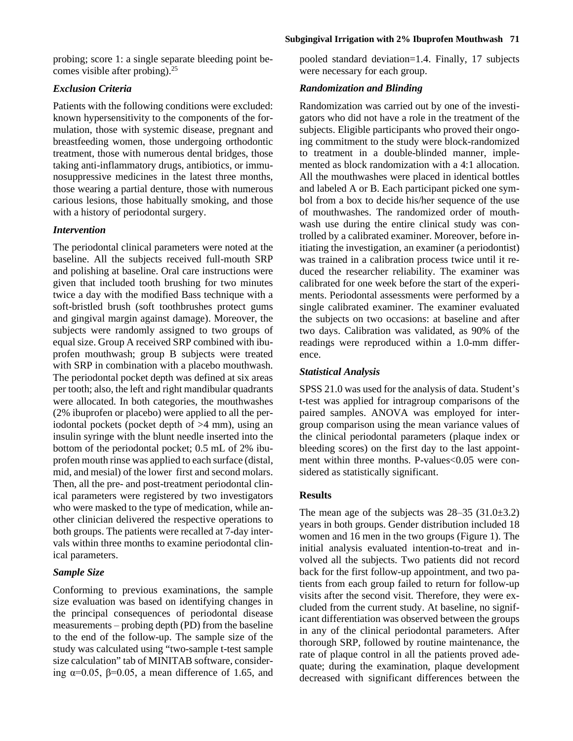#### **Subgingival Irrigation with 2% Ibuprofen Mouthwash 71**

probing; score 1: a single separate bleeding point becomes visible after probing). 25

# *Exclusion Criteria*

Patients with the following conditions were excluded: known hypersensitivity to the components of the formulation, those with systemic disease, pregnant and breastfeeding women, those undergoing orthodontic treatment, those with numerous dental bridges, those taking anti-inflammatory drugs, antibiotics, or immunosuppressive medicines in the latest three months, those wearing a partial denture, those with numerous carious lesions, those habitually smoking, and those with a history of periodontal surgery.

## *Intervention*

The periodontal clinical parameters were noted at the baseline. All the subjects received full-mouth SRP and polishing at baseline. Oral care instructions were given that included tooth brushing for two minutes twice a day with the modified Bass technique with a soft-bristled brush (soft toothbrushes protect gums and gingival margin against damage). Moreover, the subjects were randomly assigned to two groups of equal size. Group A received SRP combined with ibuprofen mouthwash; group B subjects were treated with SRP in combination with a placebo mouthwash. The periodontal pocket depth was defined at six areas per tooth; also, the left and right mandibular quadrants were allocated. In both categories, the mouthwashes (2% ibuprofen or placebo) were applied to all the periodontal pockets (pocket depth of >4 mm), using an insulin syringe with the blunt needle inserted into the bottom of the periodontal pocket; 0.5 mL of 2% ibuprofen mouth rinse was applied to each surface (distal, mid, and mesial) of the lower first and second molars. Then, all the pre- and post-treatment periodontal clinical parameters were registered by two investigators who were masked to the type of medication, while another clinician delivered the respective operations to both groups. The patients were recalled at 7-day intervals within three months to examine periodontal clinical parameters.

# *Sample Size*

Conforming to previous examinations, the sample size evaluation was based on identifying changes in the principal consequences of periodontal disease measurements – probing depth (PD) from the baseline to the end of the follow-up. The sample size of the study was calculated using "two-sample t-test sample size calculation" tab of MINITAB software, considering  $α=0.05$ ,  $β=0.05$ , a mean difference of 1.65, and pooled standard deviation=1.4. Finally, 17 subjects were necessary for each group.

# *Randomization and Blinding*

Randomization was carried out by one of the investigators who did not have a role in the treatment of the subjects. Eligible participants who proved their ongoing commitment to the study were block-randomized to treatment in a double-blinded manner, implemented as block randomization with a 4:1 allocation. All the mouthwashes were placed in identical bottles and labeled A or B. Each participant picked one symbol from a box to decide his/her sequence of the use of mouthwashes. The randomized order of mouthwash use during the entire clinical study was controlled by a calibrated examiner. Moreover, before initiating the investigation, an examiner (a periodontist) was trained in a calibration process twice until it reduced the researcher reliability. The examiner was calibrated for one week before the start of the experiments. Periodontal assessments were performed by a single calibrated examiner. The examiner evaluated the subjects on two occasions: at baseline and after two days. Calibration was validated, as 90% of the readings were reproduced within a 1.0-mm difference.

# *Statistical Analysis*

SPSS 21.0 was used for the analysis of data. Student's t-test was applied for intragroup comparisons of the paired samples. ANOVA was employed for intergroup comparison using the mean variance values of the clinical periodontal parameters (plaque index or bleeding scores) on the first day to the last appointment within three months. P-values<0.05 were considered as statistically significant.

# **Results**

The mean age of the subjects was  $28-35$  (31.0 $\pm$ 3.2) years in both groups. Gender distribution included 18 women and 16 men in the two groups (Figure 1). The initial analysis evaluated intention-to-treat and involved all the subjects. Two patients did not record back for the first follow-up appointment, and two patients from each group failed to return for follow-up visits after the second visit. Therefore, they were excluded from the current study. At baseline, no significant differentiation was observed between the groups in any of the clinical periodontal parameters. After thorough SRP, followed by routine maintenance, the rate of plaque control in all the patients proved adequate; during the examination, plaque development decreased with significant differences between the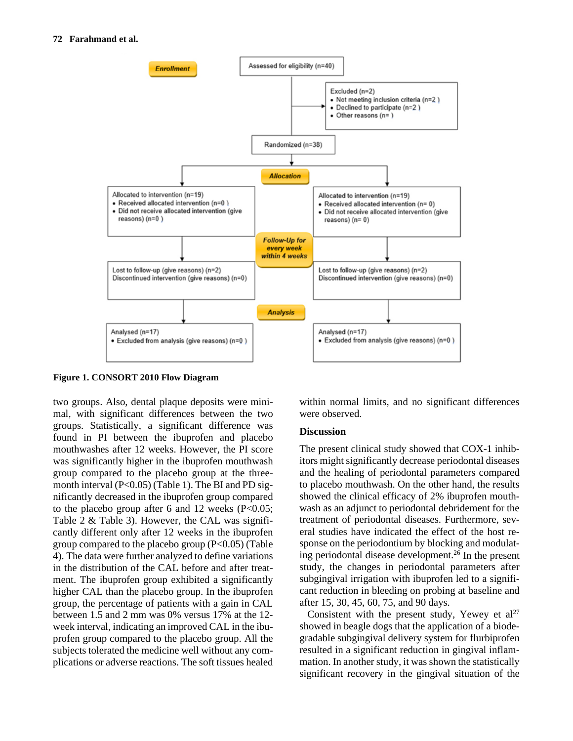#### **72 Farahmand et al.**



**Figure 1. CONSORT 2010 Flow Diagram**

two groups. Also, dental plaque deposits were minimal, with significant differences between the two groups. Statistically, a significant difference was found in PI between the ibuprofen and placebo mouthwashes after 12 weeks. However, the PI score was significantly higher in the ibuprofen mouthwash group compared to the placebo group at the threemonth interval (P<0.05) (Table 1). The BI and PD significantly decreased in the ibuprofen group compared to the placebo group after 6 and 12 weeks  $(P<0.05)$ ; Table 2 & Table 3). However, the CAL was significantly different only after 12 weeks in the ibuprofen group compared to the placebo group  $(P<0.05)$  (Table 4). The data were further analyzed to define variations in the distribution of the CAL before and after treatment. The ibuprofen group exhibited a significantly higher CAL than the placebo group. In the ibuprofen group, the percentage of patients with a gain in CAL between 1.5 and 2 mm was 0% versus 17% at the 12 week interval, indicating an improved CAL in the ibuprofen group compared to the placebo group. All the subjects tolerated the medicine well without any complications or adverse reactions. The soft tissues healed within normal limits, and no significant differences were observed.

#### **Discussion**

The present clinical study showed that COX-1 inhibitors might significantly decrease periodontal diseases and the healing of periodontal parameters compared to placebo mouthwash. On the other hand, the results showed the clinical efficacy of 2% ibuprofen mouthwash as an adjunct to periodontal debridement for the treatment of periodontal diseases. Furthermore, several studies have indicated the effect of the host response on the periodontium by blocking and modulating periodontal disease development. <sup>26</sup> In the present study, the changes in periodontal parameters after subgingival irrigation with ibuprofen led to a significant reduction in bleeding on probing at baseline and after 15, 30, 45, 60, 75, and 90 days.

Consistent with the present study, Yewey et  $al^{27}$ showed in beagle dogs that the application of a biodegradable subgingival delivery system for flurbiprofen resulted in a significant reduction in gingival inflammation. In another study, it was shown the statistically significant recovery in the gingival situation of the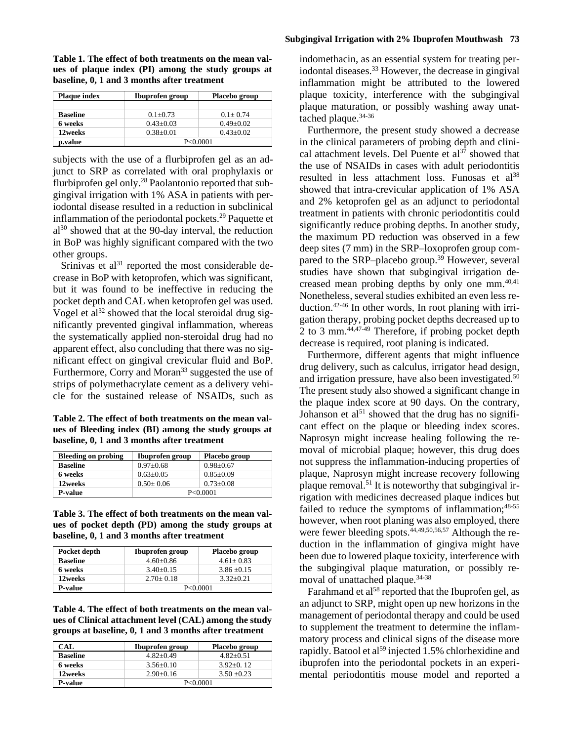**Table 1. The effect of both treatments on the mean values of plaque index (PI) among the study groups at baseline, 0, 1 and 3 months after treatment**

| <b>Plaque index</b> | <b>Ibuprofen group</b> | Placebo group |
|---------------------|------------------------|---------------|
|                     |                        |               |
| <b>Baseline</b>     | $0.1 + 0.73$           | $0.1 + 0.74$  |
| 6 weeks             | $0.43 + 0.03$          | $0.49 + 0.02$ |
| 12weeks             | $0.38 + 0.01$          | $0.43 + 0.02$ |
| p.value             | P<0.0001               |               |

subjects with the use of a flurbiprofen gel as an adjunct to SRP as correlated with oral prophylaxis or flurbiprofen gel only.28 Paolantonio reported that subgingival irrigation with 1% ASA in patients with periodontal disease resulted in a reduction in subclinical inflammation of the periodontal pockets. <sup>29</sup> Paquette et  $a^{30}$  showed that at the 90-day interval, the reduction in BoP was highly significant compared with the two other groups.

Srinivas et al $31$  reported the most considerable decrease in BoP with ketoprofen, which was significant, but it was found to be ineffective in reducing the pocket depth and CAL when ketoprofen gel was used. Vogel et al<sup>32</sup> showed that the local steroidal drug significantly prevented gingival inflammation, whereas the systematically applied non-steroidal drug had no apparent effect, also concluding that there was no significant effect on gingival crevicular fluid and BoP. Furthermore, Corry and Moran<sup>33</sup> suggested the use of strips of polymethacrylate cement as a delivery vehicle for the sustained release of NSAIDs, such as

**Table 2. The effect of both treatments on the mean values of Bleeding index (BI) among the study groups at baseline, 0, 1 and 3 months after treatment**

| <b>Bleeding on probing</b> | Ibuprofen group | Placebo group |
|----------------------------|-----------------|---------------|
| <b>Baseline</b>            | $0.97+0.68$     | $0.98 + 0.67$ |
| 6 weeks                    | $0.63 + 0.05$   | $0.85 + 0.09$ |
| 12weeks                    | $0.50 \pm 0.06$ | $0.73 + 0.08$ |
| <b>P-value</b>             | P < 0.0001      |               |

**Table 3. The effect of both treatments on the mean values of pocket depth (PD) among the study groups at baseline, 0, 1 and 3 months after treatment**

| Pocket depth    | <b>Ibuprofen group</b> | Placebo group |
|-----------------|------------------------|---------------|
| <b>Baseline</b> | $4.60+0.86$            | $4.61 + 0.83$ |
| 6 weeks         | $3.40+0.15$            | $3.86 + 0.15$ |
| 12weeks         | $2.70+0.18$            | $3.32+0.21$   |
| <b>P-value</b>  | P<0.0001               |               |

**Table 4. The effect of both treatments on the mean values of Clinical attachment level (CAL) among the study groups at baseline, 0, 1 and 3 months after treatment**

| <b>CAL</b>      | <b>Ibuprofen group</b> | Placebo group |
|-----------------|------------------------|---------------|
| <b>Baseline</b> | $4.82+0.49$            | $4.82+0.51$   |
| 6 weeks         | $3.56 + 0.10$          | $3.92+0.12$   |
| 12weeks         | $2.90+0.16$            | $3.50 + 0.23$ |
| <b>P-value</b>  | P < 0.0001             |               |

indomethacin, as an essential system for treating periodontal diseases. <sup>33</sup> However, the decrease in gingival inflammation might be attributed to the lowered plaque toxicity, interference with the subgingival plaque maturation, or possibly washing away unattached plaque.<sup>34-36</sup>

Furthermore, the present study showed a decrease in the clinical parameters of probing depth and clinical attachment levels. Del Puente et  $al<sup>37</sup>$  showed that the use of NSAIDs in cases with adult periodontitis resulted in less attachment loss. Funosas et al<sup>38</sup> showed that intra-crevicular application of 1% ASA and 2% ketoprofen gel as an adjunct to periodontal treatment in patients with chronic periodontitis could significantly reduce probing depths. In another study, the maximum PD reduction was observed in a few deep sites (7 mm) in the SRP-loxoprofen group compared to the SRP-placebo group.<sup>39</sup> However, several studies have shown that subgingival irrigation decreased mean probing depths by only one mm. 40,41 Nonetheless, several studies exhibited an even less reduction. 42-46 In other words, In root planing with irrigation therapy, probing pocket depths decreased up to 2 to 3 mm. 44,47-49 Therefore, if probing pocket depth decrease is required, root planing is indicated.

Furthermore, different agents that might influence drug delivery, such as calculus, irrigator head design, and irrigation pressure, have also been investigated. 50 The present study also showed a significant change in the plaque index score at 90 days. On the contrary, Johanson et  $al<sup>51</sup>$  showed that the drug has no significant effect on the plaque or bleeding index scores. Naprosyn might increase healing following the removal of microbial plaque; however, this drug does not suppress the inflammation-inducing properties of plaque, Naprosyn might increase recovery following plaque removal.<sup>51</sup> It is noteworthy that subgingival irrigation with medicines decreased plaque indices but failed to reduce the symptoms of inflammation;<sup>48-55</sup> however, when root planing was also employed, there were fewer bleeding spots.<sup>44,49,50,56,57</sup> Although the reduction in the inflammation of gingiva might have been due to lowered plaque toxicity, interference with the subgingival plaque maturation, or possibly removal of unattached plaque. 34-38

Farahmand et al<sup>58</sup> reported that the Ibuprofen gel, as an adjunct to SRP, might open up new horizons in the management of periodontal therapy and could be used to supplement the treatment to determine the inflammatory process and clinical signs of the disease more rapidly. Batool et al<sup>59</sup> injected 1.5% chlorhexidine and ibuprofen into the periodontal pockets in an experimental periodontitis mouse model and reported a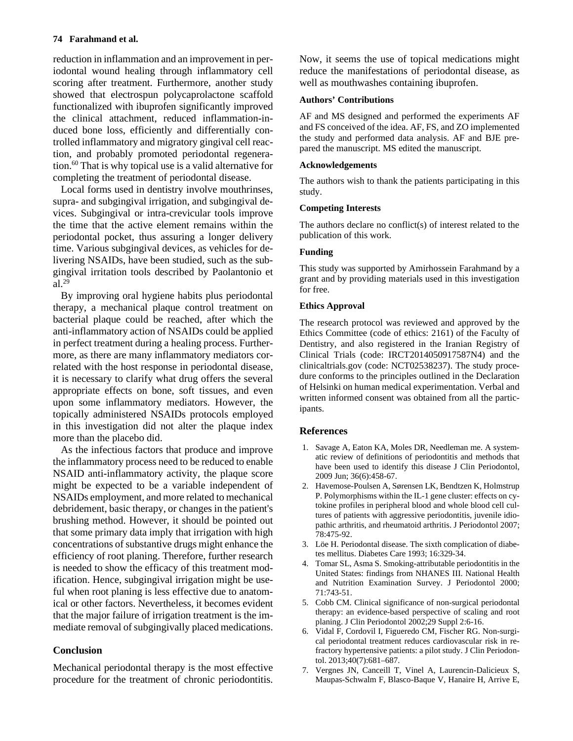## **74 Farahmand et al.**

reduction in inflammation and an improvement in periodontal wound healing through inflammatory cell scoring after treatment. Furthermore, another study showed that electrospun polycaprolactone scaffold functionalized with ibuprofen significantly improved the clinical attachment, reduced inflammation-induced bone loss, efficiently and differentially controlled inflammatory and migratory gingival cell reaction, and probably promoted periodontal regeneration. <sup>60</sup> That is why topical use is a valid alternative for completing the treatment of periodontal disease.

Local forms used in dentistry involve mouthrinses, supra- and subgingival irrigation, and subgingival devices. Subgingival or intra-crevicular tools improve the time that the active element remains within the periodontal pocket, thus assuring a longer delivery time. Various subgingival devices, as vehicles for delivering NSAIDs, have been studied, such as the subgingival irritation tools described by Paolantonio et al. 29

By improving oral hygiene habits plus periodontal therapy, a mechanical plaque control treatment on bacterial plaque could be reached, after which the anti-inflammatory action of NSAIDs could be applied in perfect treatment during a healing process. Furthermore, as there are many inflammatory mediators correlated with the host response in periodontal disease, it is necessary to clarify what drug offers the several appropriate effects on bone, soft tissues, and even upon some inflammatory mediators. However, the topically administered NSAIDs protocols employed in this investigation did not alter the plaque index more than the placebo did.

As the infectious factors that produce and improve the inflammatory process need to be reduced to enable NSAID anti-inflammatory activity, the plaque score might be expected to be a variable independent of NSAIDs employment, and more related to mechanical debridement, basic therapy, or changes in the patient's brushing method. However, it should be pointed out that some primary data imply that irrigation with high concentrations of substantive drugs might enhance the efficiency of root planing. Therefore, further research is needed to show the efficacy of this treatment modification. Hence, subgingival irrigation might be useful when root planing is less effective due to anatomical or other factors. Nevertheless, it becomes evident that the major failure of irrigation treatment is the immediate removal of subgingivally placed medications.

# **Conclusion**

Mechanical periodontal therapy is the most effective procedure for the treatment of chronic periodontitis. Now, it seems the use of topical medications might reduce the manifestations of periodontal disease, as well as mouthwashes containing ibuprofen.

#### **Authors' Contributions**

AF and MS designed and performed the experiments AF and FS conceived of the idea. AF, FS, and ZO implemented the study and performed data analysis. AF and BJE prepared the manuscript. MS edited the manuscript.

#### **Acknowledgements**

The authors wish to thank the patients participating in this study.

#### **Competing Interests**

The authors declare no conflict(s) of interest related to the publication of this work.

#### **Funding**

This study was supported by Amirhossein Farahmand by a grant and by providing materials used in this investigation for free.

#### **Ethics Approval**

The research protocol was reviewed and approved by the Ethics Committee (code of ethics: 2161) of the Faculty of Dentistry, and also registered in the Iranian Registry of Clinical Trials (code: IRCT2014050917587N4) and the clinicaltrials.gov (code: NCT02538237). The study procedure conforms to the principles outlined in the Declaration of Helsinki on human medical experimentation. Verbal and written informed consent was obtained from all the participants.

#### **References**

- 1. Savage A, Eaton KA, Moles DR, Needleman me. A systematic review of definitions of periodontitis and methods that have been used to identify this disease J Clin Periodontol, 2009 Jun; 36(6):458-67.
- 2. Havemose-Poulsen A, Sørensen LK, Bendtzen K, Holmstrup P. Polymorphisms within the IL-1 gene cluster: effects on cytokine profiles in peripheral blood and whole blood cell cultures of patients with aggressive periodontitis, juvenile idiopathic arthritis, and rheumatoid arthritis. J Periodontol 2007; 78:475-92.
- 3. Löe H. Periodontal disease. The sixth complication of diabetes mellitus. Diabetes Care 1993; 16:329-34.
- 4. Tomar SL, Asma S. Smoking-attributable periodontitis in the United States: findings from NHANES III. National Health and Nutrition Examination Survey. J Periodontol 2000; 71:743-51.
- 5. Cobb CM. Clinical significance of non-surgical periodontal therapy: an evidence-based perspective of scaling and root planing. J Clin Periodontol 2002;29 Suppl 2:6-16.
- 6. Vidal F, Cordovil I, Figueredo CM, Fischer RG. Non-surgical periodontal treatment reduces cardiovascular risk in refractory hypertensive patients: a pilot study. J Clin Periodontol. 2013;40(7):681–687.
- 7. Vergnes JN, Canceill T, Vinel A, Laurencin-Dalicieux S, Maupas-Schwalm F, Blasco-Baque V, Hanaire H, Arrive E,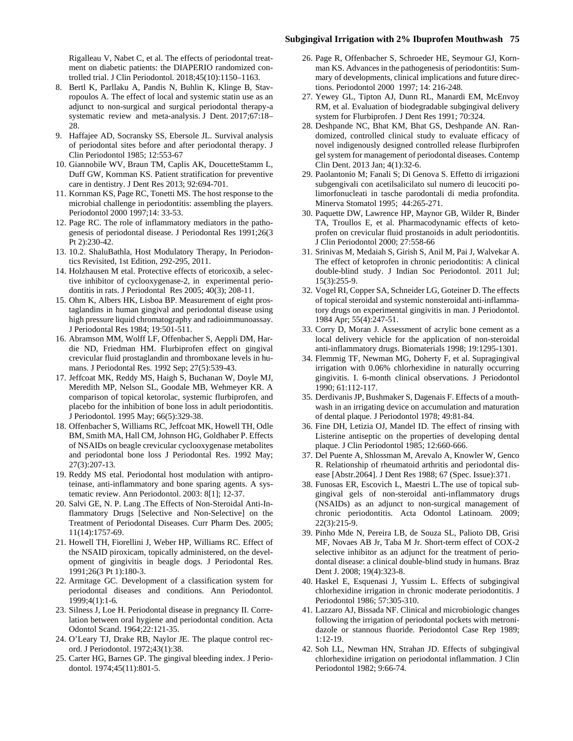#### **Subgingival Irrigation with 2% Ibuprofen Mouthwash 75**

Rigalleau V, Nabet C, et al. The effects of periodontal treatment on diabetic patients: the DIAPERIO randomized controlled trial. J Clin Periodontol. 2018;45(10):1150–1163.

- 8. Bertl K, Parllaku A, Pandis N, Buhlin K, Klinge B, Stavropoulos A. The effect of local and systemic statin use as an adjunct to non-surgical and surgical periodontal therapy-a systematic review and meta-analysis. J Dent. 2017;67:18– 28.
- 9. Haffajee AD, Socransky SS, Ebersole JL. Survival analysis of periodontal sites before and after periodontal therapy. J Clin Periodontol 1985; 12:553-67
- 10. Giannobile WV, Braun TM, Caplis AK, DoucetteStamm L, Duff GW, Kornman KS. Patient stratification for preventive care in dentistry. J Dent Res 2013; 92:694-701.
- 11. Kornman KS, Page RC, Tonetti MS. The host response to the microbial challenge in periodontitis: assembling the players. Periodontol 2000 1997;14: 33-53.
- 12. Page RC. The role of inflammatory mediators in the pathogenesis of periodontal disease. J Periodontal Res 1991;26(3 Pt 2):230-42.
- 13. 10.2. ShaluBathla, Host Modulatory Therapy, In Periodontics Revisited, 1st Edition, 292-295, 2011.
- 14. Holzhausen M etal. Protective effects of etoricoxib, a selective inhibitor of cyclooxygenase-2, in experimental periodontitis in rats. J Periodontal Res 2005; 40(3); 208-11.
- 15. Ohm K, Albers HK, Lisboa BP. Measurement of eight prostaglandins in human gingival and periodontal disease using high pressure liquid chromatography and radioimmunoassay. J Periodontal Res 1984; 19:501-511.
- 16. Abramson MM, Wolff LF, Offenbacher S, Aeppli DM, Hardie ND, Friedman HM. Flurbiprofen effect on gingival crevicular fluid prostaglandin and thromboxane levels in humans. J Periodontal Res. 1992 Sep; 27(5):539-43.
- 17. Jeffcoat MK, Reddy MS, Haigh S, Buchanan W, Doyle MJ, Meredith MP, Nelson SL, Goodale MB, Wehmeyer KR. A comparison of topical ketorolac, systemic flurbiprofen, and placebo for the inhibition of bone loss in adult periodontitis. J Periodontol. 1995 May; 66(5):329-38.
- 18. Offenbacher S, Williams RC, Jeffcoat MK, Howell TH, Odle BM, Smith MA, Hall CM, Johnson HG, Goldhaber P. Effects of NSAIDs on beagle crevicular cyclooxygenase metabolites and periodontal bone loss J Periodontal Res. 1992 May; 27(3):207-13.
- 19. Reddy MS etal. Periodontal host modulation with antiproteinase, anti-inflammatory and bone sparing agents. A systematic review. Ann Periodontol. 2003: 8[1]; 12-37.
- 20. Salvi GE, N. P. Lang .The Effects of Non-Steroidal Anti-Inflammatory Drugs [Selective and Non-Selective] on the Treatment of Periodontal Diseases. Curr Pharm Des. 2005; 11(14):1757-69.
- 21. Howell TH, Fiorellini J, Weber HP, Williams RC. Effect of the NSAID piroxicam, topically administered, on the development of gingivitis in beagle dogs. J Periodontal Res. 1991;26(3 Pt 1):180-3.
- 22. Armitage GC. Development of a classification system for periodontal diseases and conditions. Ann Periodontol. 1999;4(1):1-6.
- 23. Silness J, Loe H. Periodontal disease in pregnancy II. Correlation between oral hygiene and periodontal condition. Acta Odontol Scand. 1964;22:121-35.
- 24. O'Leary TJ, Drake RB, Naylor JE. The plaque control record. J Periodontol. 1972;43(1):38.
- 25. Carter HG, Barnes GP. The gingival bleeding index. J Periodontol. 1974;45(11):801-5.
- 26. Page R, Offenbacher S, Schroeder HE, Seymour GJ, Kornman KS. Advances in the pathogenesis of periodontitis: Summary of developments, clinical implications and future directions. Periodontol 2000 1997; 14: 216-248.
- 27. Yewey GL, Tipton AJ, Dunn RL, Manardi EM, McEnvoy RM, et al. Evaluation of biodegradable subgingival delivery system for Flurbiprofen. J Dent Res 1991; 70:324.
- 28. Deshpande NC, Bhat KM, Bhat GS, Deshpande AN. Randomized, controlled clinical study to evaluate efficacy of novel indigenously designed controlled release flurbiprofen gel system for management of periodontal diseases. Contemp Clin Dent. 2013 Jan; 4(1):32-6.
- 29. Paolantonio M; Fanali S; Di Genova S. Effetto di irrigazioni subgengivali con acetilsalicilato sul numero di leucociti polimorfonucleati in tasche parodontali di media profondita. Minerva Stomatol 1995; 44:265-271.
- 30. Paquette DW, Lawrence HP, Maynor GB, Wilder R, Binder TA, Troullos E, et al. Pharmacodynamic effects of ketoprofen on crevicular fluid prostanoids in adult periodontitis. J Clin Periodontol 2000; 27:558-66
- 31. Srinivas M, Medaiah S, Girish S, Anil M, Pai J, Walvekar A. The effect of ketoprofen in chronic periodontitis: A clinical double-blind study. J Indian Soc Periodontol. 2011 Jul; 15(3):255-9.
- 32. Vogel RI, Copper SA, Schneider LG, Goteiner D. The effects of topical steroidal and systemic nonsteroidal anti-inflammatory drugs on experimental gingivitis in man. J Periodontol. 1984 Apr; 55(4):247-51.
- 33. Corry D, Moran J. Assessment of acrylic bone cement as a local delivery vehicle for the application of non-steroidal anti-inflammatory drugs. Biomaterials 1998; 19:1295-1301.
- 34. Flemmig TF, Newman MG, Doherty F, et al. Supragingival irrigation with 0.06% chlorhexidine in naturally occurring gingivitis. I. 6-month clinical observations. J Periodontol 1990; 61:112-117.
- 35. Derdivanis JP, Bushmaker S, Dagenais F. Effects of a mouthwash in an irrigating device on accumulation and maturation of dental plaque. J Periodontol 1978; 49:81-84.
- 36. Fine DH, Letizia OJ, Mandel ID. The effect of rinsing with Listerine antiseptic on the properties of developing dental plaque. J Clin Periodontol 1985; 12:660-666.
- 37. Del Puente A, Shlossman M, Arevalo A, Knowler W, Genco R. Relationship of rheumatoid arthritis and periodontal disease [Abstr.2064]. J Dent Res 1988; 67 (Spec. Issue):371.
- 38. Funosas ER, Escovich L, Maestri L.The use of topical subgingival gels of non-steroidal anti-inflammatory drugs (NSAIDs) as an adjunct to non-surgical management of chronic periodontitis. Acta Odontol Latinoam. 2009; 22(3):215-9.
- 39. Pinho Mde N, Pereira LB, de Souza SL, Palioto DB, Grisi MF, Novaes AB Jr, Taba M Jr. Short-term effect of COX-2 selective inhibitor as an adjunct for the treatment of periodontal disease: a clinical double-blind study in humans. Braz Dent J. 2008; 19(4):323-8.
- 40. Haskel E, Esquenasi J, Yussim L. Effects of subgingival chlorhexidine irrigation in chronic moderate periodontitis. J Periodontol 1986; 57:305-310.
- 41. Lazzaro AJ, Bissada NF. Clinical and microbiologic changes following the irrigation of periodontal pockets with metronidazole or stannous fluoride. Periodontol Case Rep 1989; 1:12-19.
- 42. Soh LL, Newman HN, Strahan JD. Effects of subgingival chlorhexidine irrigation on periodontal inflammation. J Clin Periodontol 1982; 9:66-74.